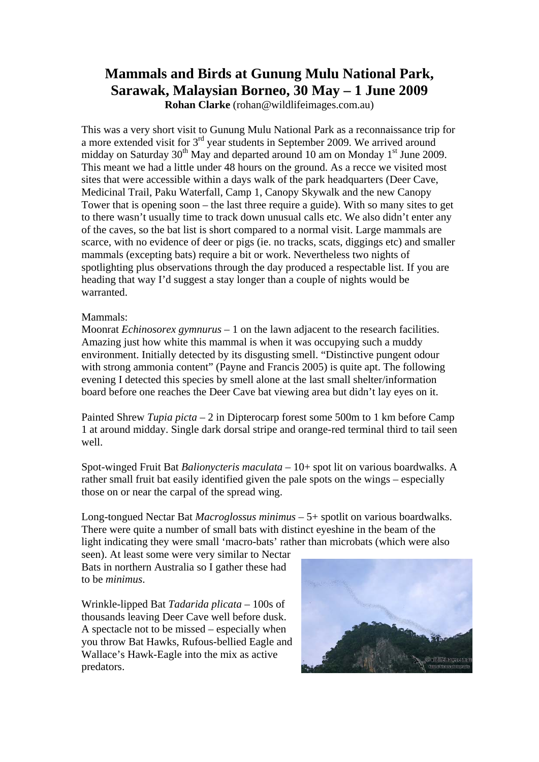## **Mammals and Birds at Gunung Mulu National Park, Sarawak, Malaysian Borneo, 30 May – 1 June 2009**

**Rohan Clarke** (rohan@wildlifeimages.com.au)

This was a very short visit to Gunung Mulu National Park as a reconnaissance trip for a more extended visit for 3<sup>rd</sup> year students in September 2009. We arrived around midday on Saturday  $30^{th}$  May and departed around 10 am on Monday 1<sup>st</sup> June 2009. This meant we had a little under 48 hours on the ground. As a recce we visited most sites that were accessible within a days walk of the park headquarters (Deer Cave, Medicinal Trail, Paku Waterfall, Camp 1, Canopy Skywalk and the new Canopy Tower that is opening soon – the last three require a guide). With so many sites to get to there wasn't usually time to track down unusual calls etc. We also didn't enter any of the caves, so the bat list is short compared to a normal visit. Large mammals are scarce, with no evidence of deer or pigs (ie. no tracks, scats, diggings etc) and smaller mammals (excepting bats) require a bit or work. Nevertheless two nights of spotlighting plus observations through the day produced a respectable list. If you are heading that way I'd suggest a stay longer than a couple of nights would be warranted.

## Mammals:

Moonrat *Echinosorex gymnurus* – 1 on the lawn adjacent to the research facilities. Amazing just how white this mammal is when it was occupying such a muddy environment. Initially detected by its disgusting smell. "Distinctive pungent odour with strong ammonia content" (Payne and Francis 2005) is quite apt. The following evening I detected this species by smell alone at the last small shelter/information board before one reaches the Deer Cave bat viewing area but didn't lay eyes on it.

Painted Shrew *Tupia picta* – 2 in Dipterocarp forest some 500m to 1 km before Camp 1 at around midday. Single dark dorsal stripe and orange-red terminal third to tail seen well.

Spot-winged Fruit Bat *Balionycteris maculata* – 10+ spot lit on various boardwalks. A rather small fruit bat easily identified given the pale spots on the wings – especially those on or near the carpal of the spread wing.

Long-tongued Nectar Bat *Macroglossus minimus* – 5+ spotlit on various boardwalks. There were quite a number of small bats with distinct eyeshine in the beam of the light indicating they were small 'macro-bats' rather than microbats (which were also

seen). At least some were very similar to Nectar Bats in northern Australia so I gather these had to be *minimus*.

Wrinkle-lipped Bat *Tadarida plicata* – 100s of thousands leaving Deer Cave well before dusk. A spectacle not to be missed – especially when you throw Bat Hawks, Rufous-bellied Eagle and Wallace's Hawk-Eagle into the mix as active predators.

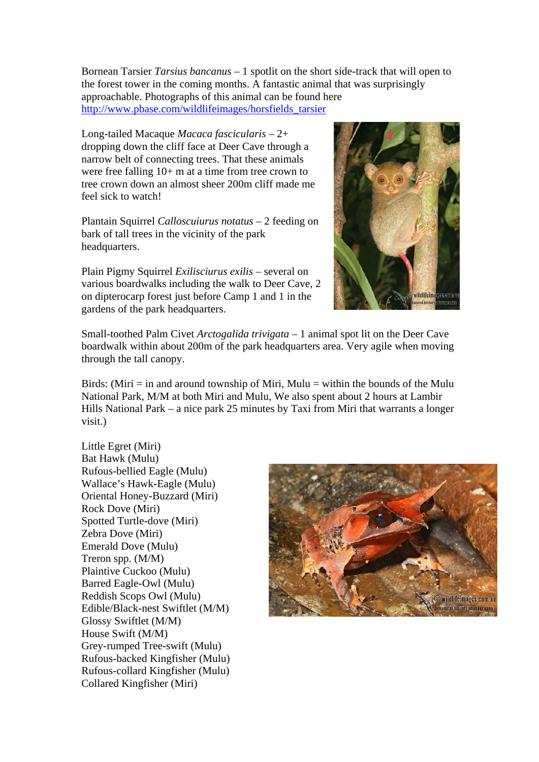Bornean Tarsier *Tarsius bancanus* – 1 spotlit on the short side-track that will open to the forest tower in the coming months. A fantastic animal that was surprisingly approachable. Photographs of this animal can be found here [http://www.pbase.com/wildlifeimages/horsfields\\_tarsier](http://www.pbase.com/wildlifeimages/horsfields_tarsier)

Long-tailed Macaque *Macaca fascicularis* – 2+ dropping down the cliff face at Deer Cave through a narrow belt of connecting trees. That these animals were free falling 10+ m at a time from tree crown to tree crown down an almost sheer 200m cliff made me feel sick to watch!

Plantain Squirrel *Calloscuiurus notatus* – 2 feeding on bark of tall trees in the vicinity of the park headquarters.

Plain Pigmy Squirrel *Exilisciurus exilis* – several on various boardwalks including the walk to Deer Cave, 2 on dipterocarp forest just before Camp 1 and 1 in the gardens of the park headquarters.



Small-toothed Palm Civet *Arctogalida trivigata* – 1 animal spot lit on the Deer Cave boardwalk within about 200m of the park headquarters area. Very agile when moving through the tall canopy.

Birds: (Miri  $=$  in and around township of Miri, Mulu  $=$  within the bounds of the Mulu National Park, M/M at both Miri and Mulu, We also spent about 2 hours at Lambir Hills National Park – a nice park 25 minutes by Taxi from Miri that warrants a longer visit.)

Little Egret (Miri) Bat Hawk (Mulu) Rufous-bellied Eagle (Mulu) Wallace's Hawk-Eagle (Mulu) Oriental Honey-Buzzard (Miri) Rock Dove (Miri) Spotted Turtle-dove (Miri) Zebra Dove (Miri) Emerald Dove (Mulu) Treron spp. (M/M) Plaintive Cuckoo (Mulu) Barred Eagle-Owl (Mulu) Reddish Scops Owl (Mulu) Edible/Black-nest Swiftlet (M/M) Glossy Swiftlet (M/M) House Swift (M/M) Grey-rumped Tree-swift (Mulu) Rufous-backed Kingfisher (Mulu) Rufous-collard Kingfisher (Mulu) Collared Kingfisher (Miri)